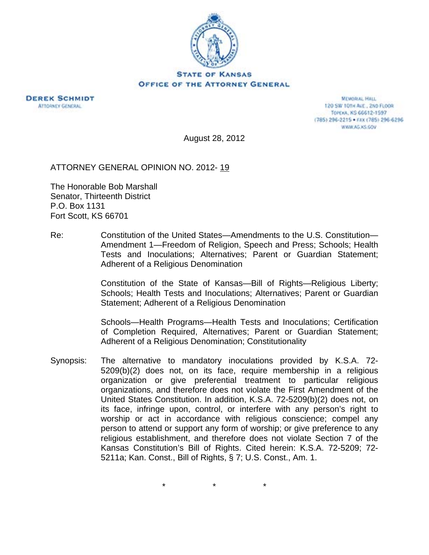



**MEMORIAL HALL** 120 SW 101H AVE., 2ND FLOOR TOPEKA, KS 66612-1597 (785) 296-2215 · FAX (785) 296-6296 WWW.AG.XS.GOV

August 28, 2012

ATTORNEY GENERAL OPINION NO. 2012- 19

The Honorable Bob Marshall Senator, Thirteenth District P.O. Box 1131 Fort Scott, KS 66701

Re: Constitution of the United States—Amendments to the U.S. Constitution— Amendment 1—Freedom of Religion, Speech and Press; Schools; Health Tests and Inoculations; Alternatives; Parent or Guardian Statement; Adherent of a Religious Denomination

> Constitution of the State of Kansas—Bill of Rights—Religious Liberty; Schools; Health Tests and Inoculations; Alternatives; Parent or Guardian Statement; Adherent of a Religious Denomination

> Schools—Health Programs—Health Tests and Inoculations; Certification of Completion Required, Alternatives; Parent or Guardian Statement; Adherent of a Religious Denomination; Constitutionality

Synopsis: The alternative to mandatory inoculations provided by K.S.A. 72- 5209(b)(2) does not, on its face, require membership in a religious organization or give preferential treatment to particular religious organizations, and therefore does not violate the First Amendment of the United States Constitution. In addition, K.S.A. 72-5209(b)(2) does not, on its face, infringe upon, control, or interfere with any person's right to worship or act in accordance with religious conscience; compel any person to attend or support any form of worship; or give preference to any religious establishment, and therefore does not violate Section 7 of the Kansas Constitution's Bill of Rights. Cited herein: K.S.A. 72-5209; 72- 5211a; Kan. Const., Bill of Rights, § 7; U.S. Const., Am. 1.

\* \* \*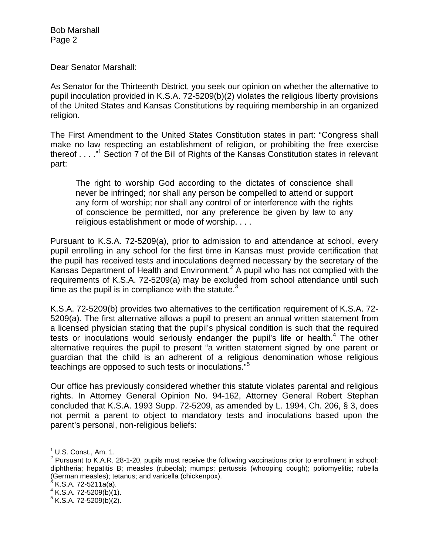Dear Senator Marshall:

As Senator for the Thirteenth District, you seek our opinion on whether the alternative to pupil inoculation provided in K.S.A. 72-5209(b)(2) violates the religious liberty provisions of the United States and Kansas Constitutions by requiring membership in an organized religion.

The First Amendment to the United States Constitution states in part: "Congress shall make no law respecting an establishment of religion, or prohibiting the free exercise thereof . . . ."<sup>1</sup> Section 7 of the Bill of Rights of the Kansas Constitution states in relevant part:

The right to worship God according to the dictates of conscience shall never be infringed; nor shall any person be compelled to attend or support any form of worship; nor shall any control of or interference with the rights of conscience be permitted, nor any preference be given by law to any religious establishment or mode of worship. . . .

Pursuant to K.S.A. 72-5209(a), prior to admission to and attendance at school, every pupil enrolling in any school for the first time in Kansas must provide certification that the pupil has received tests and inoculations deemed necessary by the secretary of the Kansas Department of Health and Environment.<sup>2</sup> A pupil who has not complied with the requirements of K.S.A. 72-5209(a) may be excluded from school attendance until such time as the pupil is in compliance with the statute. $3$ 

K.S.A. 72-5209(b) provides two alternatives to the certification requirement of K.S.A. 72- 5209(a). The first alternative allows a pupil to present an annual written statement from a licensed physician stating that the pupil's physical condition is such that the required tests or inoculations would seriously endanger the pupil's life or health.<sup>4</sup> The other alternative requires the pupil to present "a written statement signed by one parent or guardian that the child is an adherent of a religious denomination whose religious teachings are opposed to such tests or inoculations."<sup>5</sup>

Our office has previously considered whether this statute violates parental and religious rights. In Attorney General Opinion No. 94-162, Attorney General Robert Stephan concluded that K.S.A. 1993 Supp. 72-5209, as amended by L. 1994, Ch. 206, § 3, does not permit a parent to object to mandatory tests and inoculations based upon the parent's personal, non-religious beliefs:

 1 U.S. Const., Am. 1.

 $2$  Pursuant to K.A.R. 28-1-20, pupils must receive the following vaccinations prior to enrollment in school: diphtheria; hepatitis B; measles (rubeola); mumps; pertussis (whooping cough); poliomyelitis; rubella (German measles); tetanus; and varicella (chickenpox).<br><sup>3</sup> K.S.A. 72-5211a(a).

 $4$  K.S.A. 72-5209(b)(1).

 $5$  K.S.A. 72-5209(b)(2).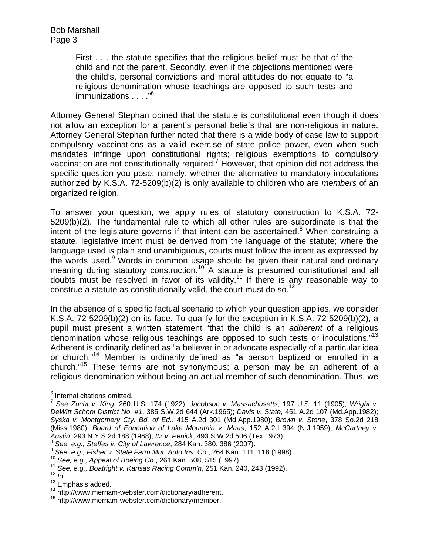First . . . the statute specifies that the religious belief must be that of the child and not the parent. Secondly, even if the objections mentioned were the child's, personal convictions and moral attitudes do not equate to "a religious denomination whose teachings are opposed to such tests and immunizations . . . . "<sup>6</sup>

Attorney General Stephan opined that the statute is constitutional even though it does not allow an exception for a parent's personal beliefs that are non-religious in nature. Attorney General Stephan further noted that there is a wide body of case law to support compulsory vaccinations as a valid exercise of state police power, even when such mandates infringe upon constitutional rights; religious exemptions to compulsory vaccination are not constitutionally required.<sup>7</sup> However, that opinion did not address the specific question you pose; namely, whether the alternative to mandatory inoculations authorized by K.S.A. 72-5209(b)(2) is only available to children who are *members* of an organized religion.

To answer your question, we apply rules of statutory construction to K.S.A. 72- 5209(b)(2). The fundamental rule to which all other rules are subordinate is that the intent of the legislature governs if that intent can be ascertained.<sup>8</sup> When construing a statute, legislative intent must be derived from the language of the statute; where the language used is plain and unambiguous, courts must follow the intent as expressed by the words used.<sup>9</sup> Words in common usage should be given their natural and ordinary meaning during statutory construction.<sup>10</sup> A statute is presumed constitutional and all doubts must be resolved in favor of its validity.<sup>11</sup> If there is any reasonable way to construe a statute as constitutionally valid, the court must do so.<sup>12</sup>

In the absence of a specific factual scenario to which your question applies, we consider K.S.A. 72-5209(b)(2) on its face. To qualify for the exception in K.S.A. 72-5209(b)(2), a pupil must present a written statement "that the child is an *adherent* of a religious denomination whose religious teachings are opposed to such tests or inoculations."<sup>13</sup> Adherent is ordinarily defined as "a believer in or advocate especially of a particular idea or church."14 Member is ordinarily defined as "a person baptized or enrolled in a church."15 These terms are not synonymous; a person may be an adherent of a religious denomination without being an actual member of such denomination. Thus, we

 6 Internal citations omitted.

<sup>7</sup> *See Zucht v. King*, 260 U.S. 174 (1922); *Jacobson v. Massachusetts*, 197 U.S. 11 (1905); *Wright v. DeWitt School District No. #1*, 385 S.W.2d 644 (Ark.1965); *Davis v. State*, 451 A.2d 107 (Md.App.1982); *Syska v. Montgomery Cty. Bd. of Ed.*, 415 A.2d 301 (Md.App.1980); *Brown v. Stone*, 378 So.2d 218 (Miss.1980); *Board of Education of Lake Mountain v. Maas*, 152 A.2d 394 (N.J.1959); *McCartney v.*  Austin, 293 N.Y.S.2d 188 (1968); Itz v. Penick, 493 S.W.2d 506 (Tex.1973).<br>
<sup>8</sup> See, e.g., Steffes v. City of Lawrence, 284 Kan. 380, 386 (2007).<br>
<sup>9</sup> See, e.g., Fisher v. State Farm Mut. Auto Ins. Co., 264 Kan. 111, 118 (

 $14$  http://www.merriam-webster.com/dictionary/adherent.<br> $15$  http://www.merriam-webster.com/dictionary/member.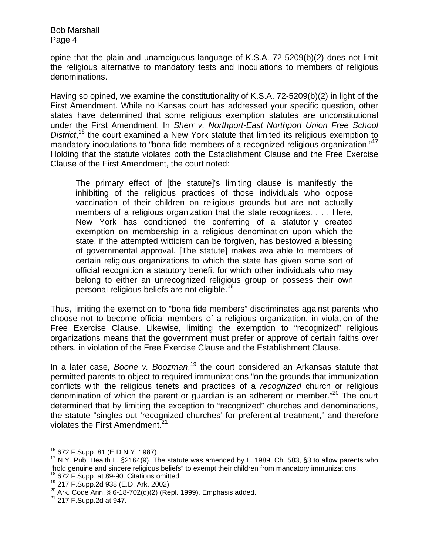opine that the plain and unambiguous language of K.S.A. 72-5209(b)(2) does not limit the religious alternative to mandatory tests and inoculations to members of religious denominations.

Having so opined, we examine the constitutionality of K.S.A. 72-5209(b)(2) in light of the First Amendment. While no Kansas court has addressed your specific question, other states have determined that some religious exemption statutes are unconstitutional under the First Amendment. In *Sherr v. Northport-East Northport Union Free School*  District,<sup>16</sup> the court examined a New York statute that limited its religious exemption to mandatory inoculations to "bona fide members of a recognized religious organization."<sup>17</sup> Holding that the statute violates both the Establishment Clause and the Free Exercise Clause of the First Amendment, the court noted:

The primary effect of [the statute]'s limiting clause is manifestly the inhibiting of the religious practices of those individuals who oppose vaccination of their children on religious grounds but are not actually members of a religious organization that the state recognizes. . . . Here, New York has conditioned the conferring of a statutorily created exemption on membership in a religious denomination upon which the state, if the attempted witticism can be forgiven, has bestowed a blessing of governmental approval. [The statute] makes available to members of certain religious organizations to which the state has given some sort of official recognition a statutory benefit for which other individuals who may belong to either an unrecognized religious group or possess their own personal religious beliefs are not eligible.<sup>18</sup>

Thus, limiting the exemption to "bona fide members" discriminates against parents who choose not to become official members of a religious organization, in violation of the Free Exercise Clause. Likewise, limiting the exemption to "recognized" religious organizations means that the government must prefer or approve of certain faiths over others, in violation of the Free Exercise Clause and the Establishment Clause.

In a later case, *Boone v. Boozman*, 19 the court considered an Arkansas statute that permitted parents to object to required immunizations "on the grounds that immunization conflicts with the religious tenets and practices of a *recognized* church or religious denomination of which the parent or guardian is an adherent or member."<sup>20</sup> The court determined that by limiting the exception to "recognized" churches and denominations, the statute "singles out 'recognized churches' for preferential treatment," and therefore violates the First Amendment.<sup>21</sup>

<sup>&</sup>lt;sup>16</sup> 672 F.Supp. 81 (E.D.N.Y. 1987).

 $17$  N.Y. Pub. Health L. §2164(9). The statute was amended by L. 1989, Ch. 583, §3 to allow parents who "hold genuine and sincere religious beliefs" to exempt their children from mandatory immunizations.<br><sup>18</sup> 672 F.Supp. at 89-90. Citations omitted.

<sup>&</sup>lt;sup>19</sup> 217 F.Supp. 2d 938 (E.D. Ark. 2002).<br><sup>20</sup> Ark. Code Ann. § 6-18-702(d)(2) (Repl. 1999). Emphasis added. <sup>21</sup> 217 F.Supp.2d at 947.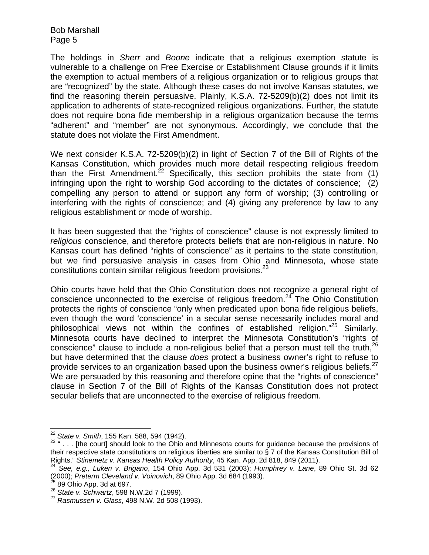The holdings in *Sherr* and *Boone* indicate that a religious exemption statute is vulnerable to a challenge on Free Exercise or Establishment Clause grounds if it limits the exemption to actual members of a religious organization or to religious groups that are "recognized" by the state. Although these cases do not involve Kansas statutes, we find the reasoning therein persuasive. Plainly, K.S.A. 72-5209(b)(2) does not limit its application to adherents of state-recognized religious organizations. Further, the statute does not require bona fide membership in a religious organization because the terms "adherent" and "member" are not synonymous. Accordingly, we conclude that the statute does not violate the First Amendment.

We next consider K.S.A. 72-5209(b)(2) in light of Section 7 of the Bill of Rights of the Kansas Constitution, which provides much more detail respecting religious freedom than the First Amendment.<sup>22</sup> Specifically, this section prohibits the state from  $(1)$ infringing upon the right to worship God according to the dictates of conscience; (2) compelling any person to attend or support any form of worship; (3) controlling or interfering with the rights of conscience; and (4) giving any preference by law to any religious establishment or mode of worship.

It has been suggested that the "rights of conscience" clause is not expressly limited to *religious* conscience, and therefore protects beliefs that are non-religious in nature. No Kansas court has defined "rights of conscience" as it pertains to the state constitution, but we find persuasive analysis in cases from Ohio and Minnesota, whose state constitutions contain similar religious freedom provisions.23

Ohio courts have held that the Ohio Constitution does not recognize a general right of conscience unconnected to the exercise of religious freedom.<sup>24</sup> The Ohio Constitution protects the rights of conscience "only when predicated upon bona fide religious beliefs, even though the word 'conscience' in a secular sense necessarily includes moral and philosophical views not within the confines of established religion."<sup>25</sup> Similarly, Minnesota courts have declined to interpret the Minnesota Constitution's "rights of conscience" clause to include a non-religious belief that a person must tell the truth.<sup>26</sup> but have determined that the clause *does* protect a business owner's right to refuse to provide services to an organization based upon the business owner's religious beliefs.<sup>27</sup> We are persuaded by this reasoning and therefore opine that the "rights of conscience" clause in Section 7 of the Bill of Rights of the Kansas Constitution does not protect secular beliefs that are unconnected to the exercise of religious freedom.

 $22$  State v. Smith, 155 Kan. 588, 594 (1942).

<sup>&</sup>lt;sup>23 "</sup> . . . [the court] should look to the Ohio and Minnesota courts for guidance because the provisions of their respective state constitutions on religious liberties are similar to  $\S$  7 of the Kansas Constitution Bill of Rights." Stinemetz v. Kansas Health Policy Authority, 45 Kan. App. 2d 818, 849 (2011).

Rights." *Stinemetz v. Kansas Health Policy Authority*, 45 Kan. App. 2d 818, 849 (2011). 24 *See, e.g., Luken v. Brigano*, 154 Ohio App. 3d 531 (2003); *Humphrey v. Lane*, 89 Ohio St. 3d 62 (2000); *Preterm Cleveland v. Voinovich*, 89 Ohio App. 3d 684 (1993). 25 89 Ohio App. 3d at 697. 26 *State v. Schwartz*, 598 N.W.2d 7 (1999). 27 *Rasmussen v. Glass*, 498 N.W. 2d 508 (1993).